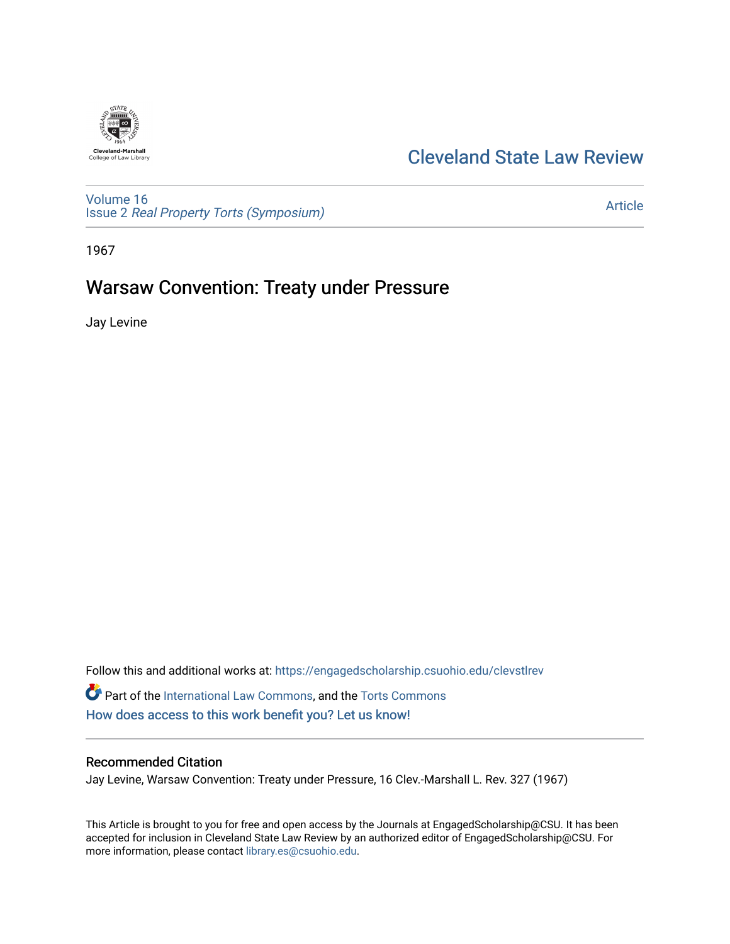

# [Cleveland State Law Review](https://engagedscholarship.csuohio.edu/clevstlrev)

[Volume 16](https://engagedscholarship.csuohio.edu/clevstlrev/vol16) Issue 2 [Real Property Torts \(Symposium\)](https://engagedscholarship.csuohio.edu/clevstlrev/vol16/iss2) 

[Article](https://engagedscholarship.csuohio.edu/clevstlrev/vol16/iss2/14) 

1967

# Warsaw Convention: Treaty under Pressure

Jay Levine

Follow this and additional works at: [https://engagedscholarship.csuohio.edu/clevstlrev](https://engagedscholarship.csuohio.edu/clevstlrev?utm_source=engagedscholarship.csuohio.edu%2Fclevstlrev%2Fvol16%2Fiss2%2F14&utm_medium=PDF&utm_campaign=PDFCoverPages) Part of the [International Law Commons,](http://network.bepress.com/hgg/discipline/609?utm_source=engagedscholarship.csuohio.edu%2Fclevstlrev%2Fvol16%2Fiss2%2F14&utm_medium=PDF&utm_campaign=PDFCoverPages) and the [Torts Commons](http://network.bepress.com/hgg/discipline/913?utm_source=engagedscholarship.csuohio.edu%2Fclevstlrev%2Fvol16%2Fiss2%2F14&utm_medium=PDF&utm_campaign=PDFCoverPages) [How does access to this work benefit you? Let us know!](http://library.csuohio.edu/engaged/)

### Recommended Citation

Jay Levine, Warsaw Convention: Treaty under Pressure, 16 Clev.-Marshall L. Rev. 327 (1967)

This Article is brought to you for free and open access by the Journals at EngagedScholarship@CSU. It has been accepted for inclusion in Cleveland State Law Review by an authorized editor of EngagedScholarship@CSU. For more information, please contact [library.es@csuohio.edu](mailto:library.es@csuohio.edu).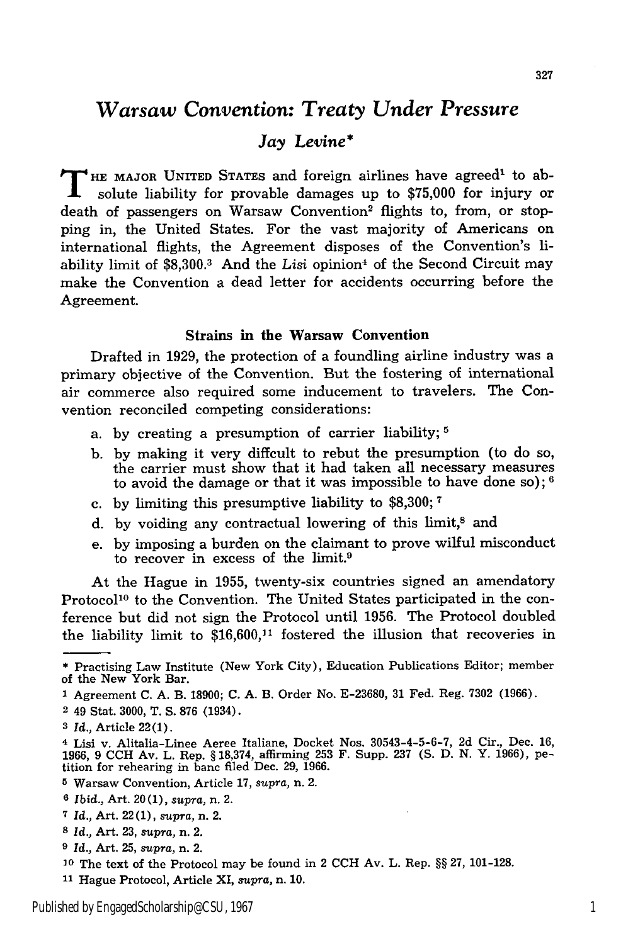## *Warsaw Convention: Treaty Under Pressure*

## *Jay Levine\**

**T HE** MAJOR UNITED **STATES** and foreign airlines have agreed' to absolute liability for provable damages up to \$75,000 for injury or death of passengers on Warsaw Convention<sup>2</sup> flights to, from, or stopping in, the United States. For the vast majority of Americans on international flights, the Agreement disposes of the Convention's liability limit of \$8,300.<sup>3</sup> And the Lisi opinion<sup>4</sup> of the Second Circuit may make the Convention a dead letter for accidents occurring before the Agreement.

### Strains **in the Warsaw Convention**

Drafted in 1929, the protection of a foundling airline industry was a primary objective of the Convention. But the fostering of international air commerce also required some inducement to travelers. The Convention reconciled competing considerations:

- a. by creating a presumption of carrier liability; **5**
- b. by making it very diffcult to rebut the presumption (to do so, the carrier must show that it had taken all necessary measures to avoid the damage or that it was impossible to have done so); **6**
- c. by limiting this presumptive liability to \$8,300; **<sup>7</sup>**
- d. by voiding any contractual lowering of this limit,<sup>8</sup> and
- e. by imposing a burden on the claimant to prove wilful misconduct to recover in excess of the limit.9

At the Hague in 1955, twenty-six countries signed an amendatory Protocol<sup>10</sup> to the Convention. The United States participated in the conference but did not sign the Protocol until 1956. The Protocol doubled the liability limit to \$16,600,11 fostered the illusion that recoveries in

<sup>\*</sup> Practising Law Institute (New York City), Education Publications Editor; member of the New York Bar.

**<sup>1</sup>** Agreement **C.** A. B. 18900; **C.** A. B. Order No. E-23680, 31 Fed. Reg. 7302 (1966).

**<sup>2</sup>** 49 Stat. 3000, T. S. **876** (1934).

*<sup>3</sup> Id.,* Article 22(1).

<sup>4</sup> Lisi v. Alitalia-Linee Aeree Italiane, Docket Nos. 30543-4-5-6-7, 2d Cir., Dec. 16, 1966, 9 CCH Av. L. Rep. § 18,374, affirming 253 F. Supp. 237 (S. D. N. Y. 1966), petition for rehearing in banc filed Dec. 29, 1966.

**<sup>5</sup>** Warsaw Convention, Article 17, *supra,* n. 2.

**<sup>6</sup>***Ibid.,* Art. 20 (1), *supra,* n. 2.

*<sup>7</sup> Id.,* Art. 22 (1), *supra,* n. 2.

*<sup>8</sup>* Id., Art. 23, *supra,* n. 2.

*<sup>9</sup> Id.,* Art. 25, supra, n. 2.

**<sup>10</sup>**The text of the Protocol may be found in 2 **CCH** Av. L. Rep. §§ 27, 101-128.

**<sup>11</sup>**Hague Protocol, Article XI, *supra,* n. 10.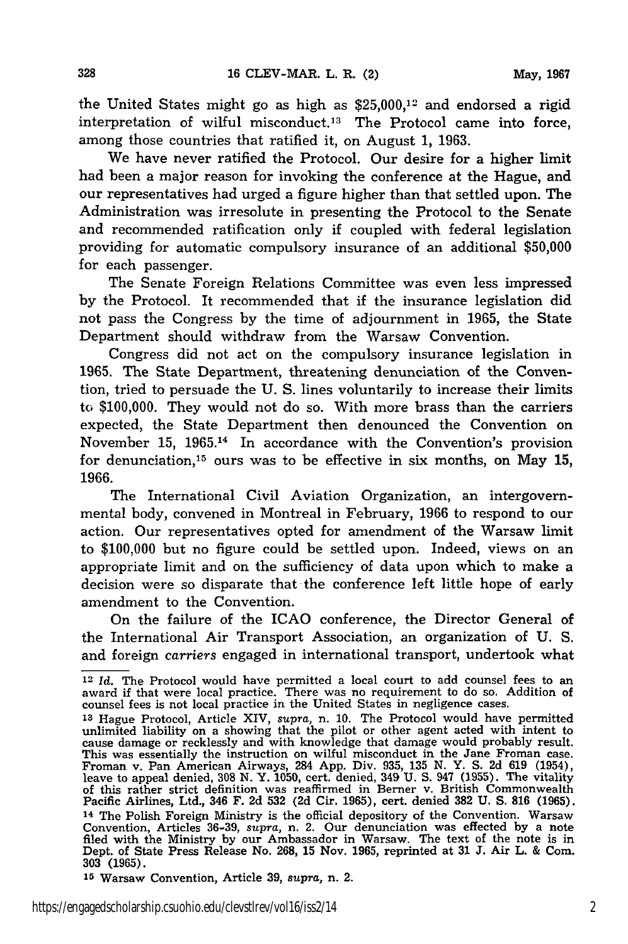the United States might go as high as \$25,000,12 and endorsed a rigid interpretation of wilful misconduct.<sup>13</sup> The Protocol came into force, among those countries that ratified it, on August 1, 1963.

We have never ratified the Protocol. Our desire for a higher limit had been a major reason for invoking the conference at the Hague, and our representatives had urged a figure higher than that settled upon. The Administration was irresolute in presenting the Protocol to the Senate and recommended ratification only if coupled with federal legislation providing for automatic compulsory insurance of an additional \$50,000 for each passenger.

The Senate Foreign Relations Committee was even less impressed by the Protocol. It recommended that if the insurance legislation did not pass the Congress by the time of adjournment in 1965, the State Department should withdraw from the Warsaw Convention.

Congress did not act on the compulsory insurance legislation in 1965. The State Department, threatening denunciation of the Convention, tried to persuade the U. S. lines voluntarily to increase their limits to \$100,000. They would not do so. With more brass than the carriers expected, the State Department then denounced the Convention on November 15, 1965.14 In accordance with the Convention's provision for denunciation,15 ours was to be effective in six months, on May 15, 1966.

The International Civil Aviation Organization, an intergovernmental body, convened in Montreal in February, 1966 to respond to our action. Our representatives opted for amendment of the Warsaw limit to \$100,000 but no figure could be settled upon. Indeed, views on an appropriate limit and on the sufficiency of data upon which to make a decision were so disparate that the conference left little hope of early amendment to the Convention.

On the failure of the ICAO conference, the Director General of the International Air Transport Association, an organization of U. S. and foreign *carriers* engaged in international transport, undertook what

**<sup>15</sup>**Warsaw Convention, Article **39,** *supra,* n. 2.

**<sup>12</sup>***Id.* The Protocol would have permitted a local court to add counsel fees to an award if that were local practice. There was no requirement to do so. Addition of counsel fees is not local practice in the United States in negligence cases.

**<sup>13</sup>**Hague Protocol, Article XIV, *supra,* n. 10. The Protocol would have permitted unlimited liability on a showing that the pilot or other agent acted with intent to cause damage or recklessly and with knowledge that damage would probably result. This was essentially the instruction on wilful misconduct in the Jane Froman case. Froman v. Pan American Airways, 284 App. Div. 935, 135 N. Y. S. 2d 619 (1954), Feave to appeal denied, 308 N. Y. 1050, cert. denied, 349 U. S. 947 (1955). The vitality<br>of this rather strict definition was reaffirmed in Berner v. British Commonwealth<br>Pacific Airlines, Ltd., 346 F. 2d 532 (2d Cir. 1965 14 The Polish Foreign Ministry is the official depository of the Convention. Warsaw Convention, Articles 36-39, *supra*, n. 2. Our denunciation was effected by a note<br>filed with the Ministry by our Ambassador in Warsaw. The text of the note is in<br>Dept. of State Press Release No. 268, 15 Nov. 1965, reprint 303 **(1965).**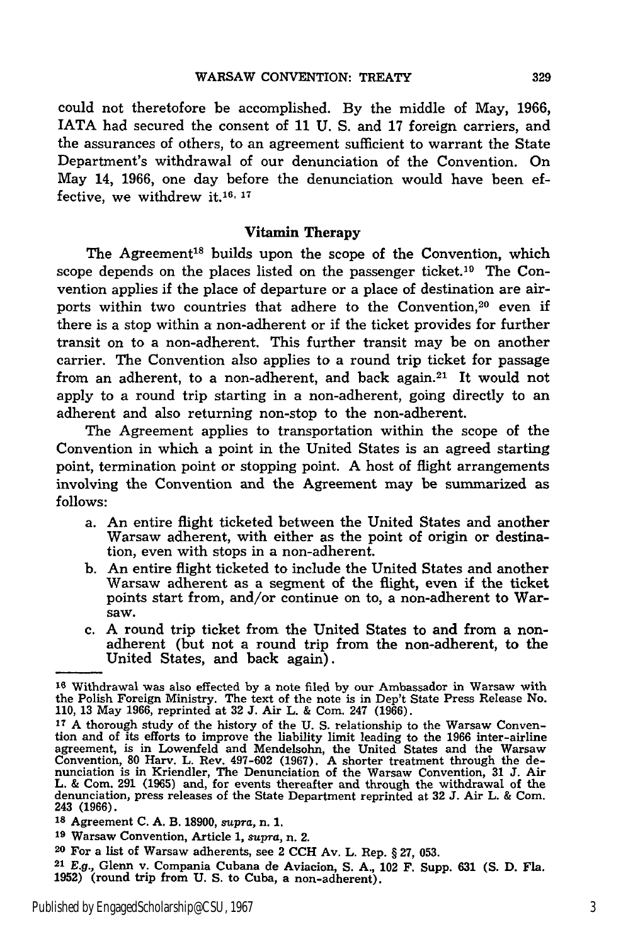could not theretofore be accomplished. By the middle of May, 1966, IATA had secured the consent of 11 U. S. and 17 foreign carriers, and the assurances of others, to an agreement sufficient to warrant the State Department's withdrawal of our denunciation of the Convention. On May 14, 1966, one day before the denunciation would have been effective, we withdrew it.<sup>16, 17</sup>

#### Vitamin Therapy

The Agreement<sup>18</sup> builds upon the scope of the Convention, which scope depends on the places listed on the passenger ticket.<sup>19</sup> The Convention applies if the place of departure or a place of destination are airports within two countries that adhere to the Convention,<sup>20</sup> even if there is a stop within a non-adherent or if the ticket provides for further transit on to a non-adherent. This further transit may be on another carrier. The Convention also applies to a round trip ticket for passage from an adherent, to a non-adherent, and back again.<sup>21</sup> It would not apply to a round trip starting in a non-adherent, going directly to an adherent and also returning non-stop to the non-adherent.

The Agreement applies to transportation within the scope of the Convention in which a point in the United States is an agreed starting point, termination point or stopping point. **A** host of flight arrangements involving the Convention and the Agreement may be summarized as follows:

- a. An entire flight ticketed between the United States and another Warsaw adherent, with either as the point of origin or destination, even with stops in a non-adherent.
- b. An entire flight ticketed to include the United States and another Warsaw adherent as a segment of the flight, even if the ticket points start from, and/or continue on to, a non-adherent to Warsaw.
- c. A round trip ticket from the United States to and from a nonadherent (but not a round trip from the non-adherent, to the United States, and back again).

**<sup>16</sup>**Withdrawal was also effected by a note filed by our Ambassador in Warsaw with the Polish Foreign Ministry. The text of the note is in Dep't State Press Release No. 110, 13 May 1966, reprinted at **32** J. Air L. & Com. 247 (1966).

**<sup>17</sup>** A thorough study of the history of the U. S. relationship to the Warsaw Convention and of its efforts to improve the liability limit leading to the 1966 inter-airline agreement, is in Lowenfeld and Mendelsohn, the United States and the Warsaw Convention, 80 Harv. L. Rev. 497-602 (1967). A shorter treatment through the de-<br>nunciation is in Kriendler, The Denunciation of the Warsaw Convention, 31 J. Air<br>L. & Com. 291 (1965) and, for events thereafter and through denunciation, press releases of the State Department reprinted at **32 J.** Air L. & **Com.** 243 (1966).

**<sup>18</sup>**Agreement **C.** A. B. 18900, *supra,* n. 1.

**<sup>19</sup>**Warsaw Convention, Article 1, supra, n. 2.

**<sup>20</sup>**For a list of Warsaw adherents, see 2 **CCH** Av. L. Rep. § **27, 053.**

**<sup>21</sup>***E.g.,* Glenn v. Compania Cubana de Aviacion, S. **A.,** 102 F. Supp. 631 **(S.** D. Fla. **1952)** (round trip from U. S. to Cuba, a non-adherent).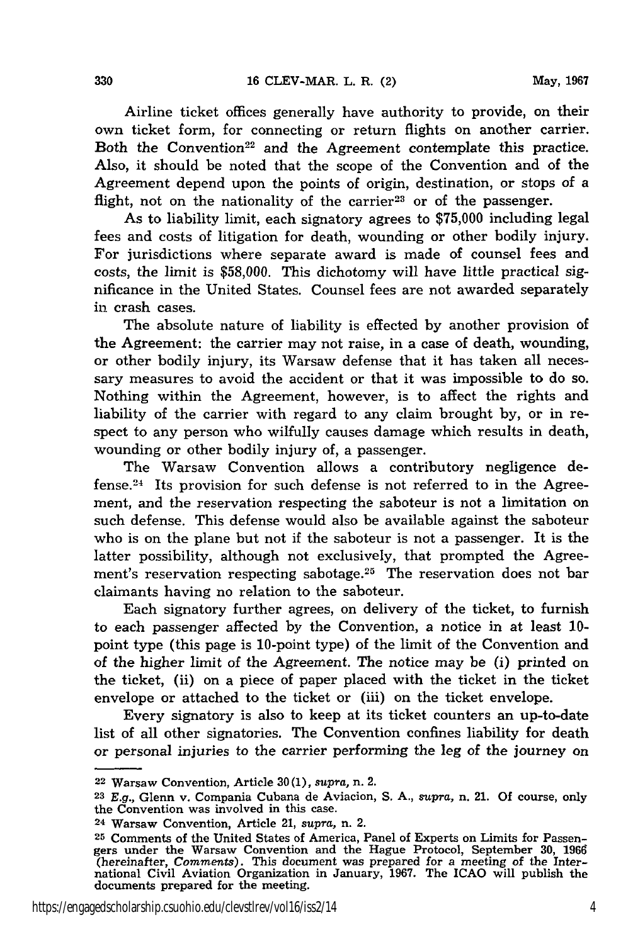Airline ticket offices generally have authority to provide, on their own ticket form, for connecting or return flights on another carrier. Both the Convention<sup>22</sup> and the Agreement contemplate this practice. Also, it should be noted that the scope of the Convention and of the Agreement depend upon the points of origin, destination, or stops of a flight, not on the nationality of the carrier<sup>23</sup> or of the passenger.

As to liability limit, each signatory agrees to \$75,000 including legal fees and costs of litigation for death, wounding or other bodily injury. For jurisdictions where separate award is made of counsel fees and costs, the limit is \$58,000. This dichotomy will have little practical significance in the United States. Counsel fees are not awarded separately in crash cases.

The absolute nature of liability is effected by another provision of the Agreement: the carrier may not raise, in a case of death, wounding, or other bodily injury, its Warsaw defense that it has taken all necessary measures to avoid the accident or that it was impossible to do so. Nothing within the Agreement, however, is to affect the rights and liability of the carrier with regard to any claim brought by, or in respect to any person who wilfully causes damage which results in death, wounding or other bodily injury of, a passenger.

The Warsaw Convention allows a contributory negligence defense. 24 Its provision for such defense is not referred to in the Agreement, and the reservation respecting the saboteur is not a limitation on such defense. This defense would also be available against the saboteur who is on the plane but not if the saboteur is not a passenger. It is the latter possibility, although not exclusively, that prompted the Agreement's reservation respecting sabotage.<sup>25</sup> The reservation does not bar claimants having no relation to the saboteur.

Each signatory further agrees, on delivery of the ticket, to furnish to each passenger affected by the Convention, a notice in at least 10 point type (this page is 10-point type) of the limit of the Convention and of the higher limit of the Agreement. The notice may be (i) printed on the ticket, (ii) on a piece of paper placed with the ticket in the ticket envelope or attached to the ticket or (iii) on the ticket envelope.

Every signatory is also to keep at its ticket counters an up-to-date list of all other signatories. The Convention confines liability for death or personal injuries to the carrier performing the leg of the journey on

<sup>22</sup> Warsaw Convention, Article 30(1), *supra,* n. 2.

**<sup>23</sup>**E.g., Glenn v. Compania Cubana de Aviacion, S. A., *supra,* n. 21. Of course, only the Convention was involved in this case. 24 Warsaw Convention, Article 21, *supra,* n. 2.

**<sup>25</sup>** Comments of the United States of America, Panel of Experts on Limits for Passengers under the Warsaw Convention and the Hague Protocol, September 30, 1966 (hereinafter, *Comments).* This document was prepared for a meeting of the Inter-national Civil Aviation Organization in January, 1967. The ICAO will publish the documents prepared for the meeting.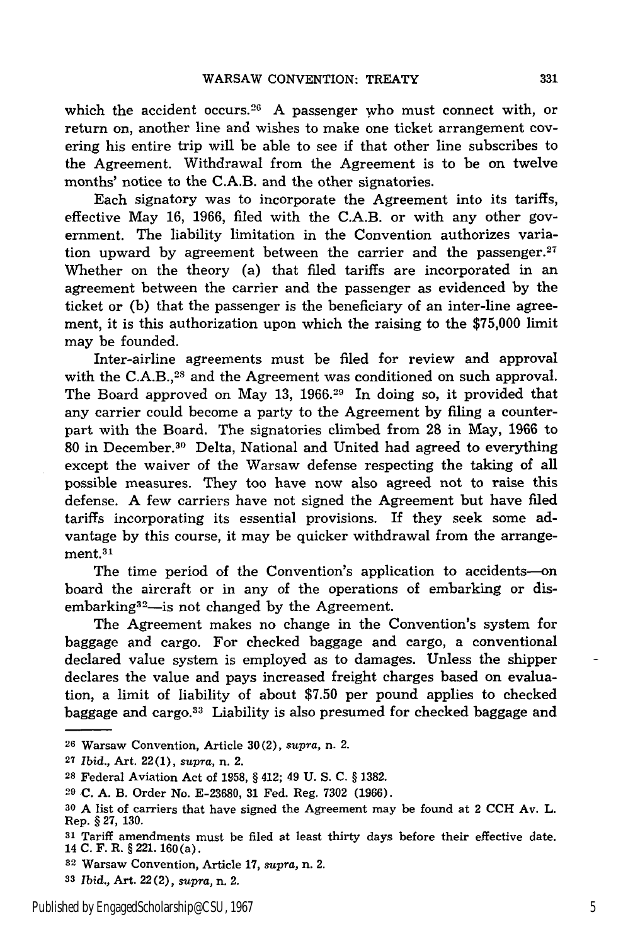which the accident occurs.<sup>26</sup> A passenger who must connect with, or return on, another line and wishes to make one ticket arrangement covering his entire trip will be able to see if that other line subscribes to the Agreement. Withdrawal from the Agreement is to be on twelve months' notice to the C.A.B. and the other signatories.

Each signatory was to incorporate the Agreement into its tariffs, effective May 16, 1966, filed with the C.A.B. or with any other government. The liability limitation in the Convention authorizes variation upward by agreement between the carrier and the passenger. $27$ Whether on the theory (a) that filed tariffs are incorporated in an agreement between the carrier and the passenger as evidenced by the ticket or (b) that the passenger is the beneficiary of an inter-line agreement, it is this authorization upon which the raising to the \$75,000 limit may be founded.

Inter-airline agreements must be filed for review and approval with the C.A.B.,<sup>28</sup> and the Agreement was conditioned on such approval. The Board approved on May 13, 1966.<sup>29</sup> In doing so, it provided that any carrier could become a party to the Agreement by filing a counterpart with the Board. The signatories climbed from 28 in May, 1966 to 80 in December.<sup>30</sup> Delta, National and United had agreed to everything except the waiver of the Warsaw defense respecting the taking of all possible measures. They too have now also agreed not to raise this defense. A few carriers have not signed the Agreement but have filed tariffs incorporating its essential provisions. If they seek some advantage by this course, it may be quicker withdrawal from the arrangement.31

The time period of the Convention's application to accidents-on board the aircraft or in any of the operations of embarking or disembarking<sup>32</sup>—is not changed by the Agreement.

The Agreement makes no change in the Convention's system for baggage and cargo. For checked baggage and cargo, a conventional declared value system is employed as to damages. Unless the shipper declares the value and pays increased freight charges based on evaluation, a limit of liability of about \$7.50 per pound applies to checked baggage and cargo.3' Liability is also presumed for checked baggage and

**3'** *Ibid.,* Art. 22(2), *supra,* n. 2.

**<sup>26</sup>**Warsaw Convention, Article 30(2), *supra,* n. 2.

**<sup>27</sup>***Ibid.,* Art. 22(1), *supra,* n. 2.

**<sup>28</sup>**Federal Aviation Act of 1958, § 412; 49 U. S. C. § 1382.

**<sup>29</sup>**C. A. B. Order No. E-23680, 31 Fed. Reg. 7302 (1966).

**<sup>30</sup>**A list of carriers that have signed the Agreement may be found at 2 CCH Av. L. Rep. § 27, 130.

**<sup>31</sup>**Tariff amendments must be filed at least thirty days before their effective date. 14 C. F. R. § 221. 160(a).

**<sup>32</sup>**Warsaw Convention, Article 17, *supra,* n. 2.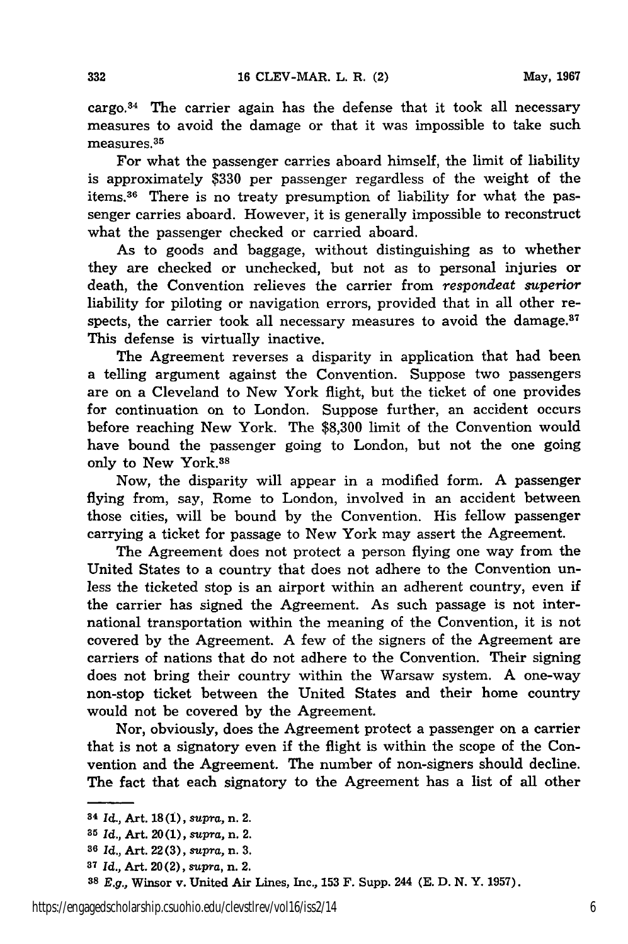cargo. $34$  The carrier again has the defense that it took all necessary measures to avoid the damage or that it was impossible to take such measures. 35

For what the passenger carries aboard himself, the limit of liability is approximately \$330 per passenger regardless of the weight of the items.<sup>36</sup> There is no treaty presumption of liability for what the passenger carries aboard. However, it is generally impossible to reconstruct what the passenger checked or carried aboard.

As to goods and baggage, without distinguishing as to whether they are checked or unchecked, but not as to personal injuries or death, the Convention relieves the carrier from *respondeat superior* liability for piloting or navigation errors, provided that in all other respects, the carrier took all necessary measures to avoid the damage. $37$ This defense is virtually inactive.

The Agreement reverses a disparity in application that had been a telling argument against the Convention. Suppose two passengers are on a Cleveland to New York flight, but the ticket of one provides for continuation on to London. Suppose further, an accident occurs before reaching New York. The \$8,300 limit of the Convention would have bound the passenger going to London, but not the one going only to New York.38

Now, the disparity will appear in a modified form. A passenger flying from, say, Rome to London, involved in an accident between those cities, will be bound by the Convention. His fellow passenger carrying a ticket for passage to New York may assert the Agreement.

The Agreement does not protect a person flying one way from the United States to a country that does not adhere to the Convention unless the ticketed stop is an airport within an adherent country, even if the carrier has signed the Agreement. As such passage is not international transportation within the meaning of the Convention, it is not covered by the Agreement. A few of the signers of the Agreement are carriers of nations that do not adhere to the Convention. Their signing does not bring their country within the Warsaw system. A one-way non-stop ticket between the United States and their home country would not be covered by the Agreement.

Nor, obviously, does the Agreement protect a passenger on a carrier that is not a signatory even if the flight is within the scope of the Convention and the Agreement. The number of non-signers should decline. The fact that each signatory to the Agreement has a list of all other

**<sup>34</sup>***Id.,* Art. **18(1),** *supra,* n. 2.

**<sup>35</sup>***Id.,* Art. **20(1),** *supra,* n. 2.

**<sup>36</sup>***Id.,* Art. 22 **(3),** *supra,* n. *3.*

**<sup>37</sup>***Id.,* Art. 20 (2), supra, n. 2.

*<sup>38</sup> E.g.,* Winsor v. United Air Lines, Inc., **153** F. Supp. 244 **(E. D. N.** Y. **1957).**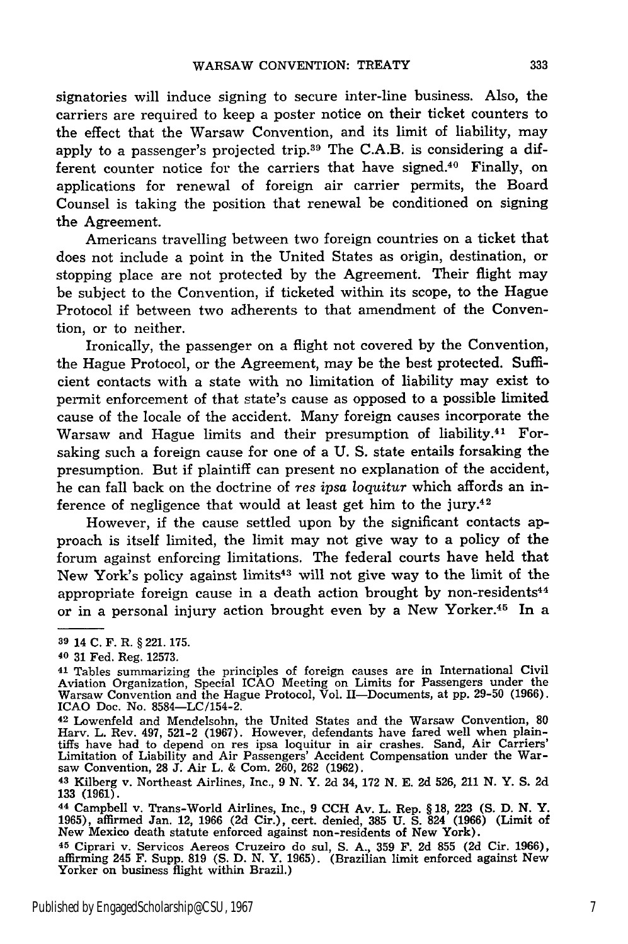signatories will induce signing to secure inter-line business. Also, the carriers are required to keep a poster notice on their ticket counters to the effect that the Warsaw Convention, and its limit of liability, may apply to a passenger's projected trip.39 The C.A.B. is considering a different counter notice for the carriers that have signed.<sup>40</sup> Finally, on applications for renewal of foreign air carrier permits, the Board Counsel is taking the position that renewal be conditioned on signing the Agreement.

Americans travelling between two foreign countries on a ticket that does not include a point in the United States as origin, destination, or stopping place are not protected by the Agreement. Their flight may be subject to the Convention, if ticketed within its scope, to the Hague Protocol if between two adherents to that amendment of the Convention, or to neither.

Ironically, the passenger on a flight not covered by the Convention, the Hague Protocol, or the Agreement, may be the best protected. Sufficient contacts with a state with no limitation of liability may exist to permit enforcement of that state's cause as opposed to a possible limited cause of the locale of the accident. Many foreign causes incorporate the Warsaw and Hague limits and their presumption of liability.<sup>41</sup> Forsaking such a foreign cause for one of a U. S. state entails forsaking the presumption. But if plaintiff can present no explanation of the accident, he can fall back on the doctrine of *res ipsa loquitur* which affords an inference of negligence that would at least get him to the jury.<sup>42</sup>

However, if the cause settled upon by the significant contacts approach is itself limited, the limit may not give way to a policy of the forum against enforcing limitations. The federal courts have held that New York's policy against limits43 will not give way to the limit of the appropriate foreign cause in a death action brought by non-residents<sup> $44$ </sup> or in a personal injury action brought even by a New Yorker.45 In a

**<sup>39</sup>**14 **C.** F. R. **§ 221. 175.**

**<sup>40</sup>** 31 Fed. Reg. 12573.

<sup>41</sup> Tables summarizing the principles of foreign causes are in International Civil Aviation Organization, Special ICAO Meeting on Limits for Passengers under the Warsaw Convention and the Hague Protocol, Vol. II-Documents, at pp. 29-50 (1966). ICAO Doc. No. 8584-LC/154-2.

<sup>42</sup> Lowenfeld and Mendelsohn, the United States and the Warsaw Convention, 80 Harv. L. Rev. 497, 521-2 (1967). However, defendants have fared well when plaintiffs have had to depend on res ipsa loquitur in air crashes. Sand, Air Carriers' Limitation of Liability and Air Passengers' Accident Compensation under the War- saw Convention, 28 **J.** Air L. & Com. 260, 262 (1962).

**<sup>43</sup>**Kilberg v. Northeast Airlines, Inc., 9 N. Y. 2d 34, 172 N. E. 2d 526, 211 N. Y. S. 2d 133 (1961).

<sup>44</sup> Campbell v. Trans-World Airlines, Inc., 9 CCH Av. L. Rep. § 18, 223 **(S.** D. N. Y. 1965), affirmed Jan. 12, 1966 (2d Cir.), cert. denied, 385 U. **S.** 824 (1966) (Limit of New Mexico death statute enforced against non-residents of New York).

**<sup>45</sup>**Ciprari v. Servicos Aereos Cruzeiro do sul, S. A., 359 F. 2d 855 (2d Cir. 1966), affirming 245 F. Supp. 819 **(S.** D. N. Y. 1965). (Brazilian limit enforced against New Yorker on business flight within Brazil.)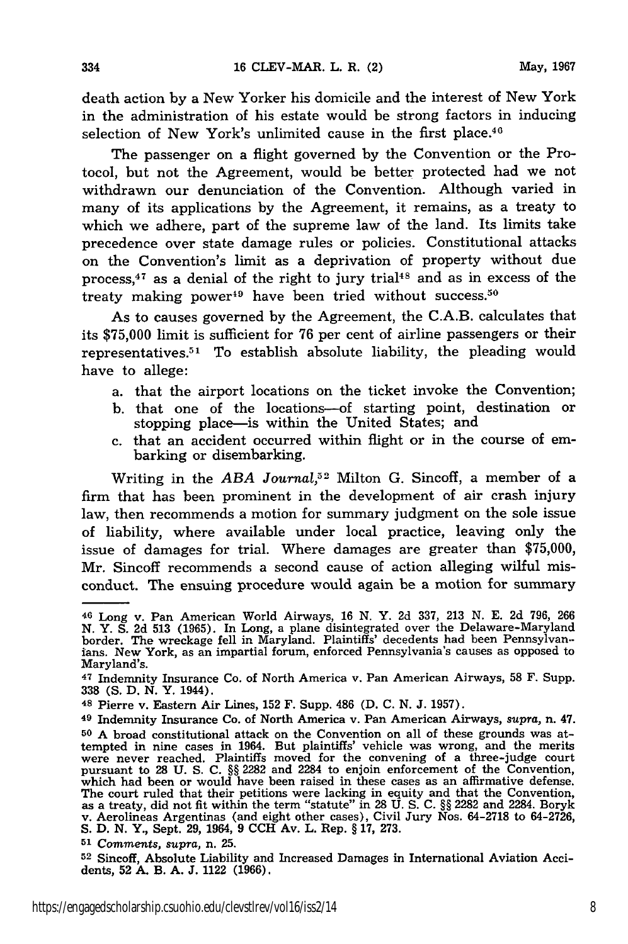death action by a New Yorker his domicile and the interest of New York in the administration of his estate would be strong factors in inducing selection of New York's unlimited cause in the first place.<sup>46</sup>

The passenger on a flight governed by the Convention or the Protocol, but not the Agreement, would be better protected had we not withdrawn our denunciation of the Convention. Although varied in many of its applications by the Agreement, it remains, as a treaty to which we adhere, part of the supreme law of the land. Its limits take precedence over state damage rules or policies. Constitutional attacks on the Convention's limit as a deprivation of property without due process, 47 as a denial of the right to jury trial4s and as in excess of the treaty making power<sup>49</sup> have been tried without success.<sup>50</sup>

As to causes governed by the Agreement, the C.A.B. calculates that its \$75,000 limit is sufficient for 76 per cent of airline passengers or their representatives.<sup>51</sup> To establish absolute liability, the pleading would have to allege:

- a. that the airport locations on the ticket invoke the Convention;
- b. that one of the locations-of starting point, destination or stopping place-is within the United States; and
- c. that an accident occurred within flight or in the course of embarking or disembarking.

Writing in the *ABA Journal,52* Milton G. Sincoff, a member of a firm that has been prominent in the development of air crash injury law, then recommends a motion for summary judgment on the sole issue of liability, where available under local practice, leaving only the issue of damages for trial. Where damages are greater than \$75,000, Mr. Sincoff recommends a second cause of action alleging wilful misconduct. The ensuing procedure would again be a motion for summary

**<sup>51</sup>**Comments, *supra,* n. 25.

**52** Sincoff, Absolute Liability and Increased Damages in International Aviation Accidents, **52** A. B. A. **J.** 1122 (1966).

<sup>46</sup> Long v. Pan American World Airways, 16 N. Y. 2d 337, 213 N. E. 2d 796, 266 N. Y. S. **2d 513** (1965). In Long, a plane disintegrated over the Delaware-Maryland border. The wreckage fell in Maryland. Plaintiffs' decedents had been Pennsylvan. ians. New York, as an impartial forum, enforced Pennsylvania's causes as opposed to Maryland's.

**<sup>47</sup>**Indemnity Insurance Co. of North America v. Pan American Airways, 58 F. Supp. 338 (S. D. N. Y. 1944).

**<sup>48</sup>**Pierre v. Eastern Air Lines, **152** F. Supp. 486 (D. C. N. J. 1957).

<sup>49</sup> Indemnity Insurance Co. of North America v. Pan American Airways, *supra,* n. 47. **50** A broad constitutional attack on the Convention on all of these grounds was attempted in nine cases in 1964. But plaintiffs' vehicle was wrong, and the merits were never reached. Plaintiffs moved for the convening of a three-judge court pursuant to **28 U.** S. **C.** §§ 2282 and 2284 to enjoin enforcement of the Convention, which had been or would have been raised in these cases as an affirmative defense. The court ruled that their petitions were lacking in equity and that the Convention as a treaty, did not fit within the term "statute" in 28 U. S. C. §§ 2282 and 2284. Boryk v. Aerolineas Argentinas (and eight other cases), Civil Jury Nos. 64-2718 to 64-2726, S. D. **N.** Y., Sept. 29, 1964, 9 **CCH** Av. L. Rep. § 17, 273.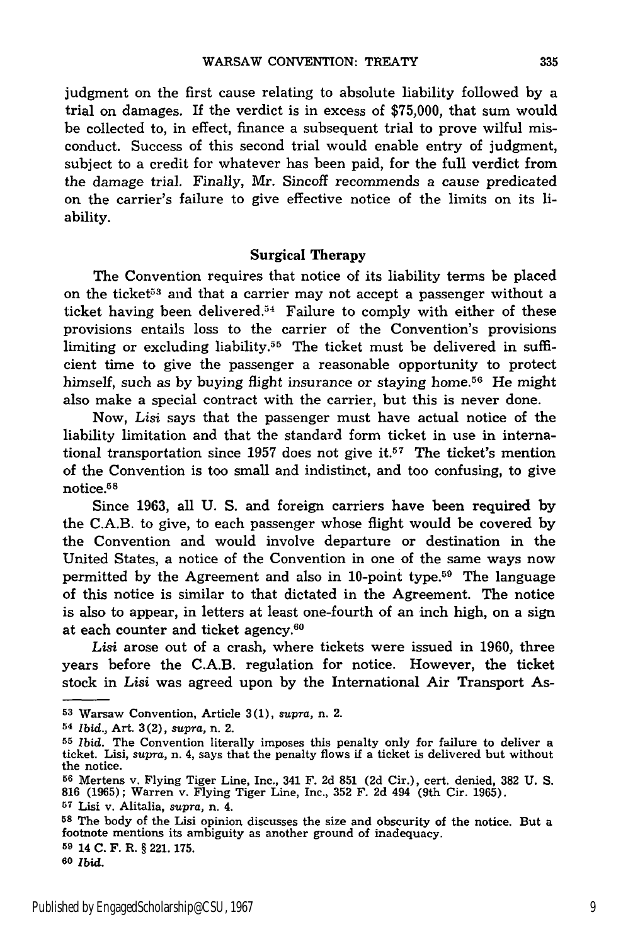judgment on the first cause relating to absolute liability followed by a trial on damages. If the verdict is in excess of \$75,000, that sum would be collected to, in effect, finance a subsequent trial to prove wilful misconduct. Success of this second trial would enable entry of judgment, subject to a credit for whatever has been paid, for the full verdict from the damage trial. Finally, Mr. Sincoff recommends a cause predicated on the carrier's failure to give effective notice of the limits on its liability.

#### **Surgical Therapy**

The Convention requires that notice of its liability terms be placed on the ticket<sup>53</sup> and that a carrier may not accept a passenger without a ticket having been delivered.<sup>54</sup> Failure to comply with either of these provisions entails loss to the carrier of the Convention's provisions limiting or excluding liability.<sup>55</sup> The ticket must be delivered in sufficient time to give the passenger a reasonable opportunity to protect himself, such as by buying flight insurance or staying home.<sup>56</sup> He might also make a special contract with the carrier, but this is never done.

Now, *Lisi* says that the passenger must have actual notice of the liability limitation and that the standard form ticket in use in international transportation since 1957 does not give it.<sup>57</sup> The ticket's mention of the Convention is too small and indistinct, and too confusing, to give notice. $58$ 

Since 1963, all U. S. and foreign carriers have been required by the C.A.B. to give, to each passenger whose flight would be covered by the Convention and would involve departure or destination in the United States, a notice of the Convention in one of the same ways now permitted by the Agreement and also in 10-point type.59 The language of this notice is similar to that dictated in the Agreement. The notice is also to appear, in letters at least one-fourth of an inch high, on a sign at each counter and ticket agency. <sup>60</sup>

*Lisi* arose out of a crash, where tickets were issued in 1960, three years before the C.A.B. regulation for notice. However, the ticket stock in *Lisi* was agreed upon by the International Air Transport As-

**58** The body of the Lisi opinion discusses the size and obscurity of the notice. But a footnote mentions its ambiguity as another ground of inadequacy.

**<sup>59</sup>**14 **C.** F. R. **§ 221. 175.**

**60** Ibid.

**<sup>53</sup>**Warsaw Convention, Article **3(1),** *supra,* n. 2.

**<sup>54</sup>***Ibid.,* Art. 3(2), *supra,* n. 2.

**<sup>55</sup>***Ibid.* The Convention literally imposes this penalty only for failure to deliver a ticket. Lisi, *supra,* n. 4, says that the penalty flows if a ticket is delivered but without the notice.

**<sup>56</sup>**Mertens v. Flying Tiger Line, Inc., 341 F. 2d **851 (2d** Cir.), cert. denied, **382 U. S. 816** (1965); Warren v. Flying Tiger Line, Inc., 352 F. 2d 494 (9th Cir. 1965).

**<sup>57</sup>**Lisi v. Alitalia, *supra,* n. 4.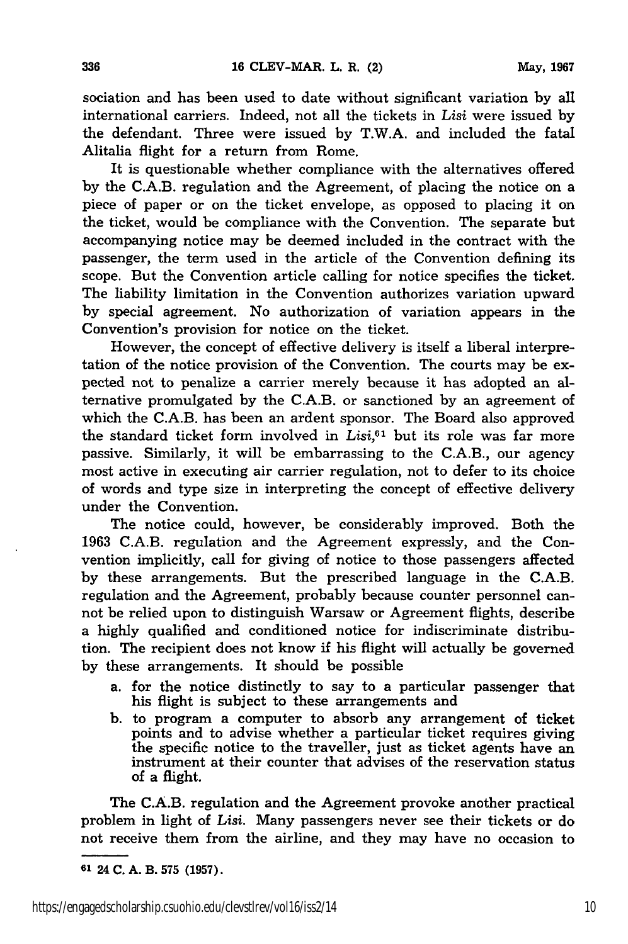sociation and has been used to date without significant variation by all international carriers. Indeed, not all the tickets in *Lisi* were issued by the defendant. Three were issued by T.W.A. and included the fatal Alitalia flight for a return from Rome.

It is questionable whether compliance with the alternatives offered by the C.A.B. regulation and the Agreement, of placing the notice on a piece of paper or on the ticket envelope, as opposed to placing it on the ticket, would be compliance with the Convention. The separate but accompanying notice may be deemed included in the contract with the passenger, the term used in the article of the Convention defining its scope. But the Convention article calling for notice specifies the ticket. The liability limitation in the Convention authorizes variation upward by special agreement. No authorization of variation appears in the Convention's provision for notice on the ticket.

However, the concept of effective delivery is itself a liberal interpretation of the notice provision of the Convention. The courts may be expected not to penalize a carrier merely because it has adopted an alternative promulgated by the C.A.B. or sanctioned by an agreement of which the C.A.B. has been an ardent sponsor. The Board also approved the standard ticket form involved in *Lisi,61* but its role was far more passive. Similarly, it will be embarrassing to the C.A.B., our agency most active in executing air carrier regulation, not to defer to its choice of words and type size in interpreting the concept of effective delivery under the Convention.

The notice could, however, be considerably improved. Both the 1963 C.A.B. regulation and the Agreement expressly, and the Convention implicitly, call for giving of notice to those passengers affected by these arrangements. But the prescribed language in the C.A.B. regulation and the Agreement, probably because counter personnel cannot be relied upon to distinguish Warsaw or Agreement flights, describe a highly qualified and conditioned notice for indiscriminate distribution. The recipient does not know if his flight will actually be governed by these arrangements. It should be possible

- a. for the notice distinctly to say to a particular passenger that his flight is subject to these arrangements and
- b. to program a computer to absorb any arrangement of ticket points and to advise whether a particular ticket requires giving the specific notice to the traveller, just as ticket agents have an instrument at their counter that advises of the reservation status of a flight.

The C.A.B. regulation and the Agreement provoke another practical problem in light of *Lisi.* Many passengers never see their tickets or do not receive them from the airline, and they may have no occasion to

**<sup>01</sup>**24 **C. A.** B. **575 (1957).**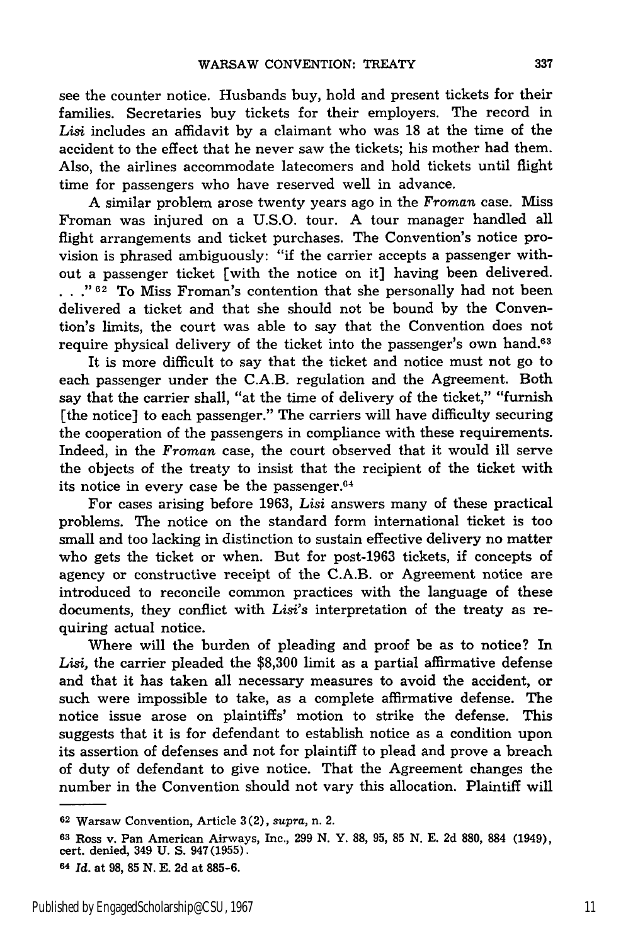see the counter notice. Husbands buy, hold and present tickets for their families. Secretaries buy tickets for their employers. The record in *Lisi* includes an affidavit by a claimant who was 18 at the time of the accident to the effect that he never saw the tickets; his mother had them. Also, the airlines accommodate latecomers and hold tickets until flight time for passengers who have reserved well in advance.

A similar problem arose twenty years ago in the *Froman* case. Miss Froman was injured on a U.S.O. tour. A tour manager handled all flight arrangements and ticket purchases. The Convention's notice provision is phrased ambiguously: "if the carrier accepts a passenger without a passenger ticket [with the notice on it] having been delivered.<br> **• .**, <sup>2</sup><sup>02</sup> To Miss Froman's contention that she personally had not been delivered a ticket and that she should not be bound by the Convention's limits, the court was able to say that the Convention does not require physical delivery of the ticket into the passenger's own hand.<sup>63</sup>

It is more difficult to say that the ticket and notice must not go to each passenger under the C.A.B. regulation and the Agreement. Both say that the carrier shall, "at the time of delivery of the ticket," "furnish [the notice] to each passenger." The carriers will have difficulty securing the cooperation of the passengers in compliance with these requirements. Indeed, in the *Froman* case, the court observed that it would ill serve the objects of the treaty to insist that the recipient of the ticket with its notice in every case be the passenger. $64$ 

For cases arising before 1963, *Lisi* answers many of these practical problems. The notice on the standard form international ticket is too small and too lacking in distinction to sustain effective delivery no matter who gets the ticket or when. But for post-1963 tickets, if concepts of agency or constructive receipt of the C.A.B. or Agreement notice are introduced to reconcile common practices with the language of these documents, they conflict with *Lisi's* interpretation of the treaty as requiring actual notice.

Where will the burden of pleading and proof be as to notice? In Lisi, the carrier pleaded the \$8,300 limit as a partial affirmative defense and that it has taken all necessary measures to avoid the accident, or such were impossible to take, as a complete affirmative defense. The notice issue arose on plaintiffs' motion to strike the defense. This suggests that it is for defendant to establish notice as a condition upon its assertion of defenses and not for plaintiff to plead and prove a breach of duty of defendant to give notice. That the Agreement changes the number in the Convention should not vary this allocation. Plaintiff will

**<sup>62</sup>**Warsaw Convention, Article 3 (2), *supra,* n. 2.

**<sup>63</sup>**Ross v. Pan American Airways, Inc., 299 N. Y. **88,** 95, **85** N. E. 2d **880, 884** (1949), cert. denied, 349 U. S. 947(1955).

**<sup>64</sup>***Id.* at **98, 85 N. E. 2d** at 885-6.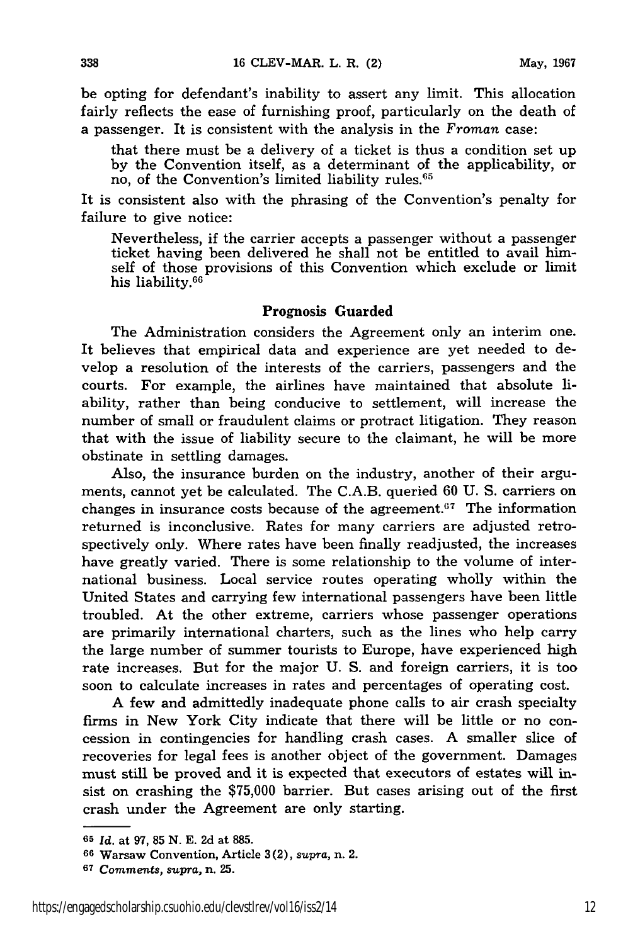be opting for defendant's inability to assert any limit. This allocation fairly reflects the ease of furnishing proof, particularly on the death of a passenger. It is consistent with the analysis in the *Froman* case:

that there must be a delivery of a ticket is thus a condition set up by the Convention itself, as a determinant of the applicability, or no, of the Convention's limited liability rules.<sup>65</sup>

It is consistent also with the phrasing of the Convention's penalty for failure to give notice:

Nevertheless, if the carrier accepts a passenger without a passenger ticket having been delivered he shall not be entitled to avail himself of those provisions of this Convention which exclude or limit his liability.6 "

### Prognosis **Guarded**

The Administration considers the Agreement only an interim one. It believes that empirical data and experience are yet needed to develop a resolution of the interests of the carriers, passengers and the courts. For example, the airlines have maintained that absolute liability, rather than being conducive to settlement, will increase the number of small or fraudulent claims or protract litigation. They reason that with the issue of liability secure to the claimant, he will be more obstinate in settling damages.

Also, the insurance burden on the industry, another of their arguments, cannot yet be calculated. The C.A.B. queried 60 U. S. carriers on changes in insurance costs because of the agreement. $\sigma$ <sup>7</sup> The information returned is inconclusive. Rates for many carriers are adjusted retrospectively only. Where rates have been finally readjusted, the increases have greatly varied. There is some relationship to the volume of international business. Local service routes operating wholly within the United States and carrying few international passengers have been little troubled. At the other extreme, carriers whose passenger operations are primarily international charters, such as the lines who help carry the large number of summer tourists to Europe, have experienced high rate increases. But for the major U. S. and foreign carriers, it is too soon to calculate increases in rates and percentages of operating cost.

A few and admittedly inadequate phone calls to air crash specialty firms in New York City indicate that there will be little or no concession in contingencies for handling crash cases. A smaller slice of recoveries for legal fees is another object of the government. Damages must still be proved and it is expected that executors of estates will insist on crashing the \$75,000 barrier. But cases arising out of the first crash under the Agreement are only starting.

**<sup>65</sup>***Id.* **at 97, 85 N. E. 2d at 885.**

**<sup>66</sup>**Warsaw Convention, Article **3(2),** *supra,* n. 2.

**<sup>67</sup>***Comments, supra,* **n. 25.**